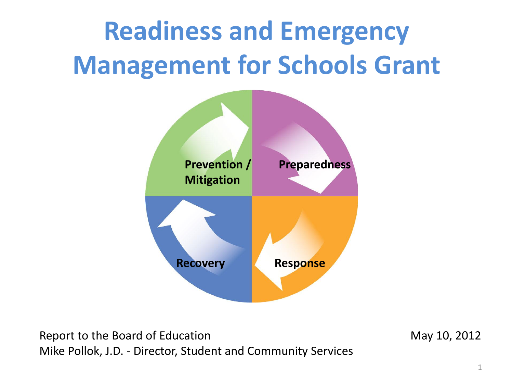### **Readiness and Emergency Management for Schools Grant**



Report to the Board of Education Nation May 10, 2012 Mike Pollok, J.D. - Director, Student and Community Services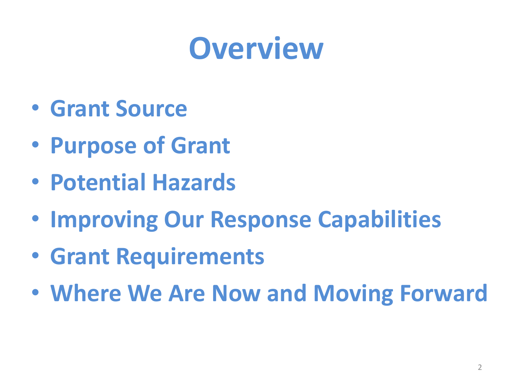### **Overview**

- **Grant Source**
- **Purpose of Grant**
- **Potential Hazards**
- **Improving Our Response Capabilities**
- **Grant Requirements**
- **Where We Are Now and Moving Forward**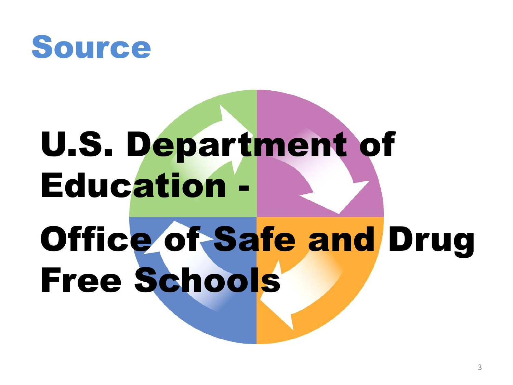

# U.S. Department of Education - Office of Safe and Drug Free Schools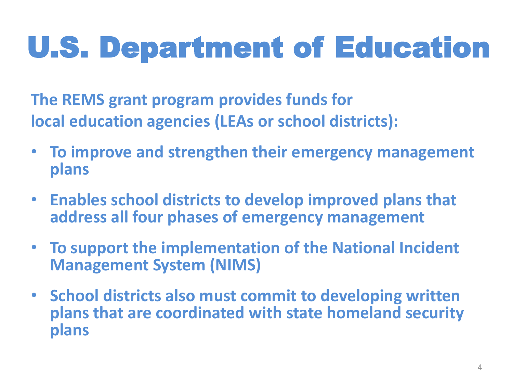### U.S. Department of Education

**The REMS grant program provides funds for local education agencies (LEAs or school districts):**

- **To improve and strengthen their emergency management plans**
- **Enables school districts to develop improved plans that address all four phases of emergency management**
- **To support the implementation of the National Incident Management System (NIMS)**
- **School districts also must commit to developing written plans that are coordinated with state homeland security plans**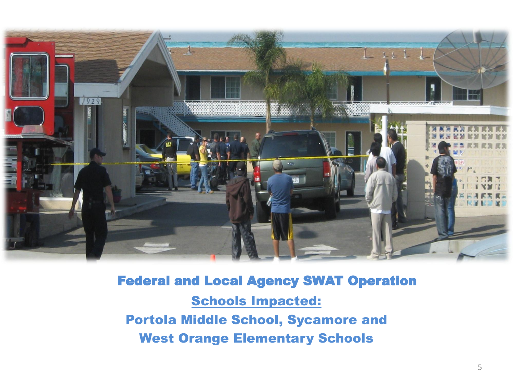

Federal and Local Agency SWAT Operation Schools Impacted: Portola Middle School, Sycamore and West Orange Elementary Schools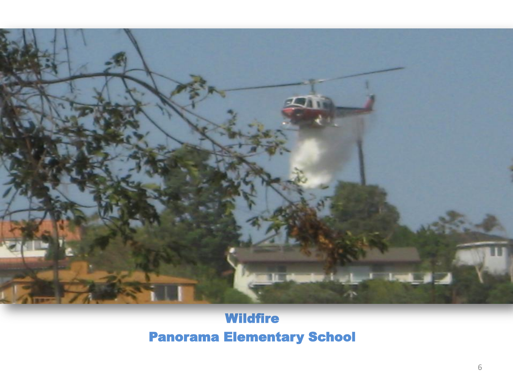

#### **Wildfire** Panorama Elementary School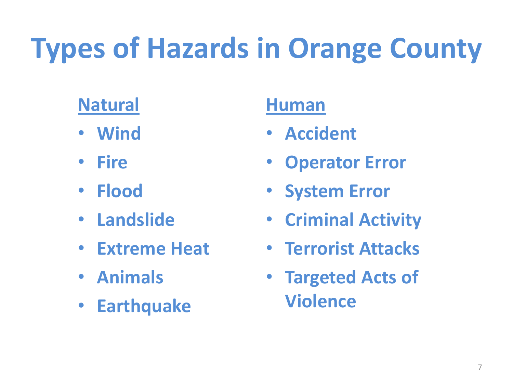## **Types of Hazards in Orange County**

### **Natural**

- **Wind**
- **Fire**
- **Flood**
- **Landslide**
- **Extreme Heat**
- **Animals**
- **Earthquake**

#### **Human**

- **Accident**
- **Operator Error**
- **System Error**
- **Criminal Activity**
- **Terrorist Attacks**
- **Targeted Acts of Violence**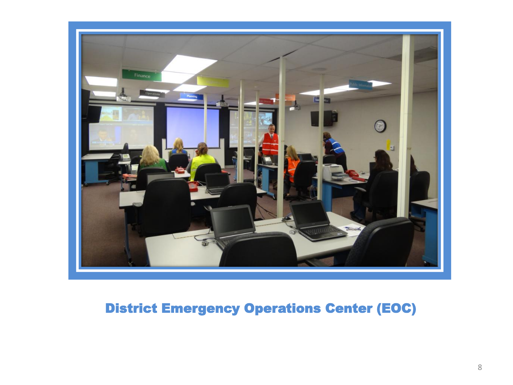

#### District Emergency Operations Center (EOC)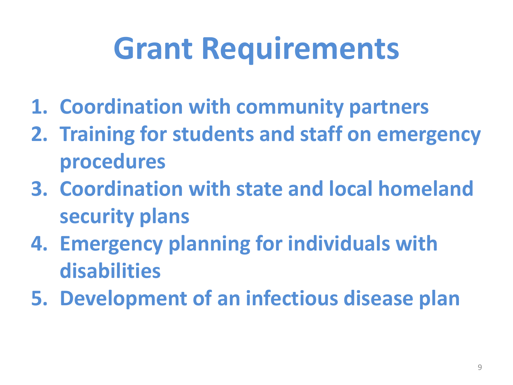## **Grant Requirements**

- **1. Coordination with community partners**
- **2. Training for students and staff on emergency procedures**
- **3. Coordination with state and local homeland security plans**
- **4. Emergency planning for individuals with disabilities**
- **5. Development of an infectious disease plan**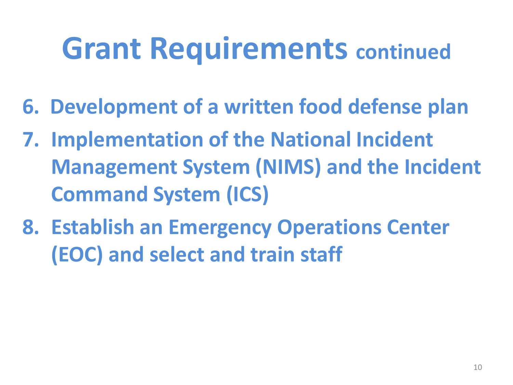### **Grant Requirements continued**

- **6. Development of a written food defense plan**
- **7. Implementation of the National Incident Management System (NIMS) and the Incident Command System (ICS)**
- **8. Establish an Emergency Operations Center (EOC) and select and train staff**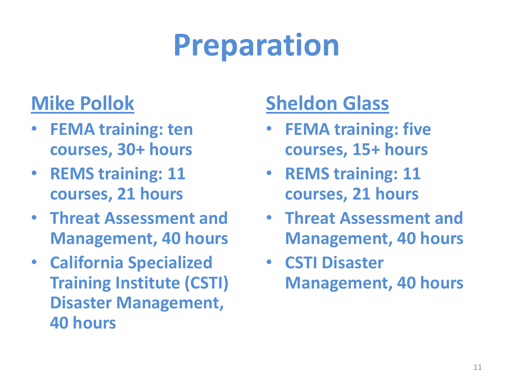### **Preparation**

#### **Mike Pollok**

- **FEMA training: ten courses, 30+ hours**
- **REMS training: 11 courses, 21 hours**
- **Threat Assessment and Management, 40 hours**
- **California Specialized Training Institute (CSTI) Disaster Management, 40 hours**

### **Sheldon Glass**

- **FEMA training: five courses, 15+ hours**
- **REMS training: 11 courses, 21 hours**
- **Threat Assessment and Management, 40 hours**
- **CSTI Disaster Management, 40 hours**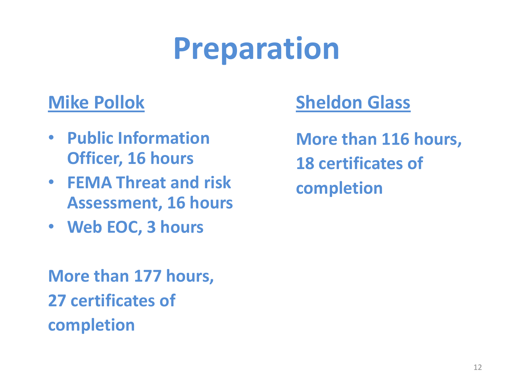### **Preparation**

#### **Mike Pollok**

- **Public Information Officer, 16 hours**
- **FEMA Threat and risk Assessment, 16 hours**
- **Web EOC, 3 hours**

#### **Sheldon Glass**

**More than 116 hours, 18 certificates of completion**

**More than 177 hours, 27 certificates of completion**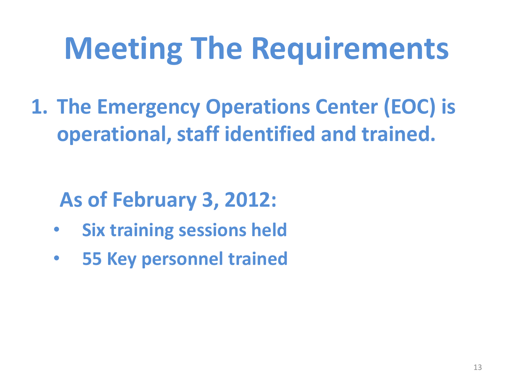**1. The Emergency Operations Center (EOC) is operational, staff identified and trained.** 

### **As of February 3, 2012:**

- **Six training sessions held**
- **55 Key personnel trained**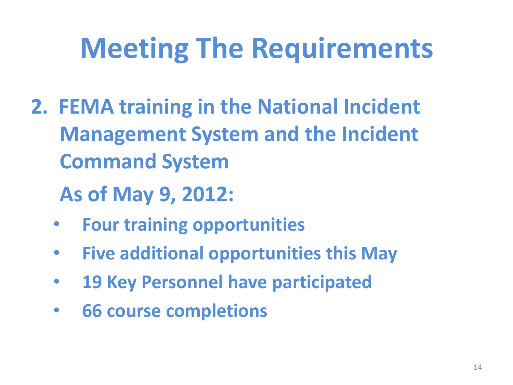- **2. FEMA training in the National Incident Management System and the Incident Command System**
	- **As of May 9, 2012:**
	- **Four training opportunities**
	- **Five additional opportunities this May**
	- **19 Key Personnel have participated**
	- **66 course completions**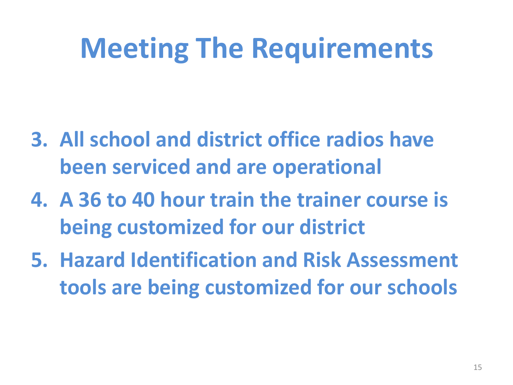- **3. All school and district office radios have been serviced and are operational**
- **4. A 36 to 40 hour train the trainer course is being customized for our district**
- **5. Hazard Identification and Risk Assessment tools are being customized for our schools**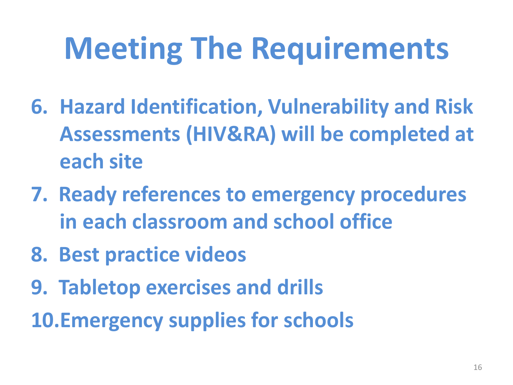- **6. Hazard Identification, Vulnerability and Risk Assessments (HIV&RA) will be completed at each site**
- **7. Ready references to emergency procedures in each classroom and school office**
- **8. Best practice videos**
- **9. Tabletop exercises and drills**
- **10.Emergency supplies for schools**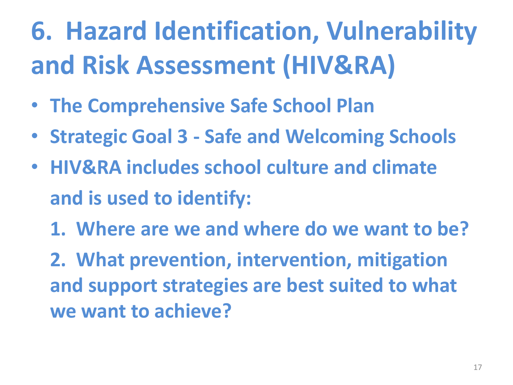### **6. Hazard Identification, Vulnerability and Risk Assessment (HIV&RA)**

- **The Comprehensive Safe School Plan**
- **Strategic Goal 3 - Safe and Welcoming Schools**
- **HIV&RA includes school culture and climate and is used to identify:**
	- **1. Where are we and where do we want to be?**

**2. What prevention, intervention, mitigation and support strategies are best suited to what we want to achieve?**